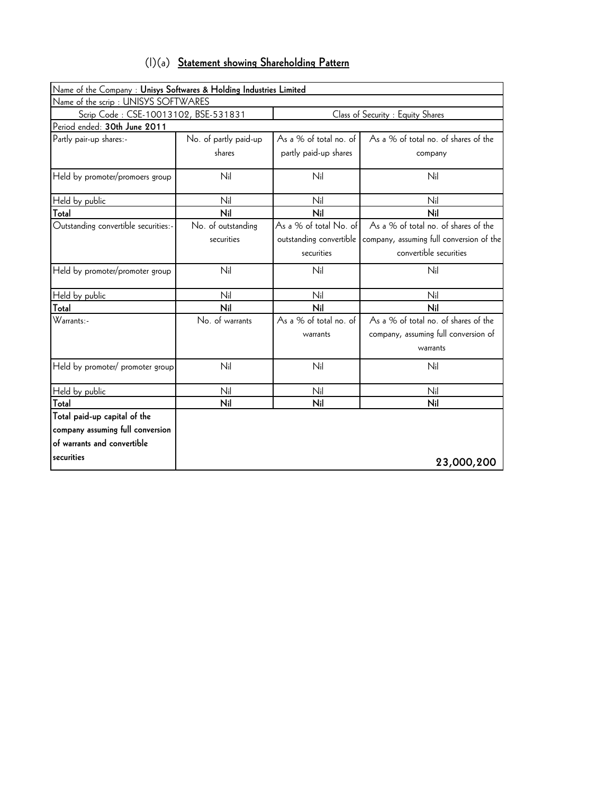|  |  |  |  | (I)(a) Statement showing Shareholding Pattern |  |
|--|--|--|--|-----------------------------------------------|--|
|--|--|--|--|-----------------------------------------------|--|

| Name of the Company : Unisys Softwares & Holding Industries Limited |                       |                         |                                          |  |  |
|---------------------------------------------------------------------|-----------------------|-------------------------|------------------------------------------|--|--|
| Name of the scrip: UNISYS SOFTWARES                                 |                       |                         |                                          |  |  |
| Scrip Code: CSE-10013102, BSE-531831                                |                       |                         | Class of Security : Equity Shares        |  |  |
| Period ended: 30th June 2011                                        |                       |                         |                                          |  |  |
| Partly pair-up shares:-                                             | No. of partly paid-up | As a % of total no. of  | As a % of total no. of shares of the     |  |  |
|                                                                     | shares                | partly paid-up shares   | company                                  |  |  |
| Held by promoter/promoers group                                     | Nil                   | Nil                     | Nil                                      |  |  |
| Held by public                                                      | Nil                   | Nil                     | Nil                                      |  |  |
| Total                                                               | Nil                   | Nil                     | Nil                                      |  |  |
| Outstanding convertible securities:-                                | No. of outstanding    | As a % of total No. of  | As a % of total no. of shares of the     |  |  |
|                                                                     | securities            | outstanding convertible | company, assuming full conversion of the |  |  |
|                                                                     |                       | securities              | convertible securities                   |  |  |
| Held by promoter/promoter group                                     | Nil                   | Nil                     | Nil                                      |  |  |
| Held by public                                                      | Nil                   | Nil                     | Nil                                      |  |  |
| Total                                                               | Nil                   | Nil                     | Nil                                      |  |  |
| Warrants:-                                                          | No. of warrants       | As a % of total no. of  | As a % of total no. of shares of the     |  |  |
|                                                                     |                       | warrants                | company, assuming full conversion of     |  |  |
|                                                                     |                       |                         | warrants                                 |  |  |
| Held by promoter/ promoter group                                    | Nil                   | Nil                     | Nil                                      |  |  |
| Held by public                                                      | Nil                   | Nil                     | Nil                                      |  |  |
| Total                                                               | Nil                   | Nil                     | Nil                                      |  |  |
| Total paid-up capital of the                                        |                       |                         |                                          |  |  |
| company assuming full conversion                                    |                       |                         |                                          |  |  |
| of warrants and convertible                                         |                       |                         |                                          |  |  |
| securities                                                          |                       |                         | 23,000,200                               |  |  |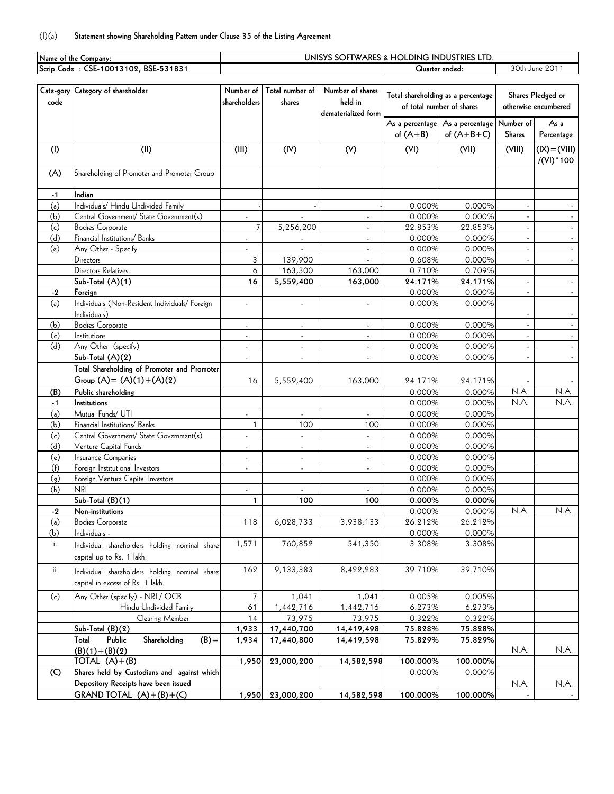## (I)(a) **Statement showing Shareholding Pattern under Clause 35 of the Listing Agreement**

| Name of the Company: |                                                                    |                |                 |                             | UNISYS SOFTWARES & HOLDING INDUSTRIES LTD. |                                    |                |                      |
|----------------------|--------------------------------------------------------------------|----------------|-----------------|-----------------------------|--------------------------------------------|------------------------------------|----------------|----------------------|
|                      | Scrip Code: CSE-10013102, BSE-531831                               |                |                 |                             | Quarter ended:                             |                                    | 30th June 2011 |                      |
|                      |                                                                    |                |                 |                             |                                            |                                    |                |                      |
|                      | Cate-gory Category of shareholder                                  | Number of      | Total number of | Number of shares            |                                            |                                    |                |                      |
| code                 |                                                                    | shareholders   | shares          | held in                     |                                            | Total shareholding as a percentage |                | Shares Pledged or    |
|                      |                                                                    |                |                 | dematerialized form         |                                            | of total number of shares          |                | otherwise encumbered |
|                      |                                                                    |                |                 |                             |                                            | As a percentage As a percentage    | Number of      | As a                 |
|                      |                                                                    |                |                 |                             | of $(A+B)$                                 | of $(A+B+C)$                       | <b>Shares</b>  | Percentage           |
| (1)                  | (II)                                                               | (III)          | (IV)            | (V)                         | (VI)                                       | (VII)                              | (VIII)         | $(IX) = (VIII)$      |
|                      |                                                                    |                |                 |                             |                                            |                                    |                | $/(VI)*100$          |
|                      |                                                                    |                |                 |                             |                                            |                                    |                |                      |
| (A)                  | Shareholding of Promoter and Promoter Group                        |                |                 |                             |                                            |                                    |                |                      |
|                      | Indian                                                             |                |                 |                             |                                            |                                    |                |                      |
| $-1$<br>(a)          | Individuals/ Hindu Undivided Family                                |                |                 |                             | 0.000%                                     |                                    |                |                      |
| (b)                  |                                                                    |                |                 |                             | 0.000%                                     | 0.000%<br>0.000%                   |                |                      |
| (c)                  | Central Government/ State Government(s)<br><b>Bodies Corporate</b> | $\overline{7}$ | 5,256,200       | $\mathcal{L}$               | 22.853%                                    | 22.853%                            |                |                      |
| (d)                  | Financial Institutions/ Banks                                      | $\blacksquare$ | $\blacksquare$  | $\mathcal{L}_{\mathcal{A}}$ | 0.000%                                     | 0.000%                             | $\sim$         |                      |
| (e)                  | Any Other - Specify                                                |                |                 | $\blacksquare$              | 0.000%                                     | 0.000%                             |                |                      |
|                      | Directors                                                          | 3              | 139,900         |                             | 0.608%                                     | 0.000%                             |                |                      |
|                      | Directors Relatives                                                | 6              | 163,300         | 163,000                     | 0.710%                                     | 0.709%                             |                |                      |
|                      | Sub-Total (A)(1)                                                   | 16             | 5,559,400       | 163,000                     | 24.171%                                    | 24.171%                            |                |                      |
| $-2$                 | Foreign                                                            |                |                 |                             | 0.000%                                     | 0.000%                             | $\overline{a}$ |                      |
| (a)                  | Individuals (Non-Resident Individuals/ Foreign                     |                |                 |                             | 0.000%                                     | 0.000%                             |                |                      |
|                      | Individuals)                                                       |                |                 |                             |                                            |                                    |                |                      |
| (b)                  | <b>Bodies Corporate</b>                                            | $\blacksquare$ | $\blacksquare$  |                             | 0.000%                                     | 0.000%                             |                |                      |
| (c)                  | Institutions                                                       | $\overline{a}$ | $\mathcal{L}$   | $\mathcal{L}$               | 0.000%                                     | 0.000%                             |                |                      |
| (d)                  | Any Other (specify)                                                | $\blacksquare$ | $\blacksquare$  | $\mathcal{L}_{\mathcal{A}}$ | 0.000%                                     | 0.000%                             | $\sim$         |                      |
|                      | Sub-Total (A)(2)                                                   | $\blacksquare$ | ÷,              |                             | 0.000%                                     | 0.000%                             |                |                      |
|                      | Total Shareholding of Promoter and Promoter                        |                |                 |                             |                                            |                                    |                |                      |
|                      | Group $(A) = (A)(1) + (A)(2)$                                      |                |                 |                             |                                            |                                    |                |                      |
|                      | Public shareholding                                                | 16             | 5,559,400       | 163,000                     | 24.171%                                    | 24.171%                            |                |                      |
| (B)                  | Institutions                                                       |                |                 |                             | 0.000%<br>0.000%                           | 0.000%<br>0.000%                   | N.A.<br>N.A.   | N.A.<br>N.A.         |
| $-1$<br>(a)          | Mutual Funds/ UTI                                                  |                |                 |                             | 0.000%                                     | 0.000%                             |                |                      |
| (b)                  | Financial Institutions/ Banks                                      | $\mathbf{1}$   | 100             | 100                         | 0.000%                                     | 0.000%                             |                |                      |
| (c)                  | Central Government/ State Government(s)                            |                | ÷,              | $\blacksquare$              | 0.000%                                     | 0.000%                             |                |                      |
| (d)                  | Venture Capital Funds                                              | ÷,             | ÷,              |                             | 0.000%                                     | 0.000%                             |                |                      |
| (e)                  | Insurance Companies                                                | $\overline{a}$ | $\sim$          | $\sim$                      | 0.000%                                     | 0.000%                             |                |                      |
| (f)                  | Foreign Institutional Investors                                    | $\overline{a}$ | $\overline{a}$  | ÷.                          | 0.000%                                     | 0.000%                             |                |                      |
| (q)                  | Foreign Venture Capital Investors                                  |                |                 |                             | 0.000%                                     | 0.000%                             |                |                      |
| (h)                  | <b>NRI</b>                                                         |                |                 |                             | 0.000%                                     | 0.000%                             |                |                      |
|                      | $Sub-Total (B)(1)$                                                 | 1              | 100             | 100                         | 0.000%                                     | 0.000%                             |                |                      |
| -2                   | Non-institutions                                                   |                |                 |                             | 0.000%                                     | 0.000%                             | N.A.           | N.A.                 |
| (a)                  | <b>Bodies Corporate</b>                                            | 118            | 6,028,733       | 3,938,133                   | 26.212%                                    | 26.212%                            |                |                      |
| (b)                  | Individuals -                                                      |                |                 |                             | 0.000%                                     | 0.000%                             |                |                      |
| i.                   | Individual shareholders holding nominal share                      | 1,571          | 760,852         | 541,350                     | 3.308%                                     | 3.308%                             |                |                      |
|                      | capital up to Rs. 1 lakh.                                          |                |                 |                             |                                            |                                    |                |                      |
|                      |                                                                    |                |                 |                             |                                            |                                    |                |                      |
| ii.                  | Individual shareholders holding nominal share                      | 162            | 9,133,383       | 8,422,283                   | 39.710%                                    | 39.710%                            |                |                      |
|                      | capital in excess of Rs. 1 lakh.                                   |                |                 |                             |                                            |                                    |                |                      |
| (c)                  | Any Other (specify) - NRI / OCB                                    | 7              | 1,041           | 1,041                       | 0.005%                                     | 0.005%                             |                |                      |
|                      | Hindu Undivided Family                                             | 61             | 1,442,716       | 1,442,716                   | 6.273%                                     | 6.273%                             |                |                      |
|                      | Clearing Member                                                    | 14             | 73,975          | 73,975                      | 0.322%                                     | 0.322%                             |                |                      |
|                      | Sub-Total (B)(2)                                                   | 1,933          | 17,440,700      | 14,419,498                  | 75.828%                                    | 75.828%                            |                |                      |
|                      | Public<br>Shareholding<br>$(B) =$<br>Total                         | 1,934          | 17,440,800      | 14,419,598                  | 75.829%                                    | 75.829%                            |                |                      |
|                      | $(B)(1)+(B)(2)$                                                    |                |                 |                             |                                            |                                    | N.A.           | N.A.                 |
|                      | TOTAL $(A)+(B)$                                                    | 1,950          | 23,000,200      | 14,582,598                  | 100.000%                                   | 100.000%                           |                |                      |
| (C)                  | Shares held by Custodians and against which                        |                |                 |                             | 0.000%                                     | 0.000%                             |                |                      |
|                      | Depository Receipts have been issued                               |                |                 |                             |                                            |                                    | N.A.           | N.A.                 |
|                      | GRAND TOTAL $(A)+(B)+(C)$                                          | 1,950          | 23,000,200      | 14,582,598                  | 100.000%                                   | 100.000%                           |                |                      |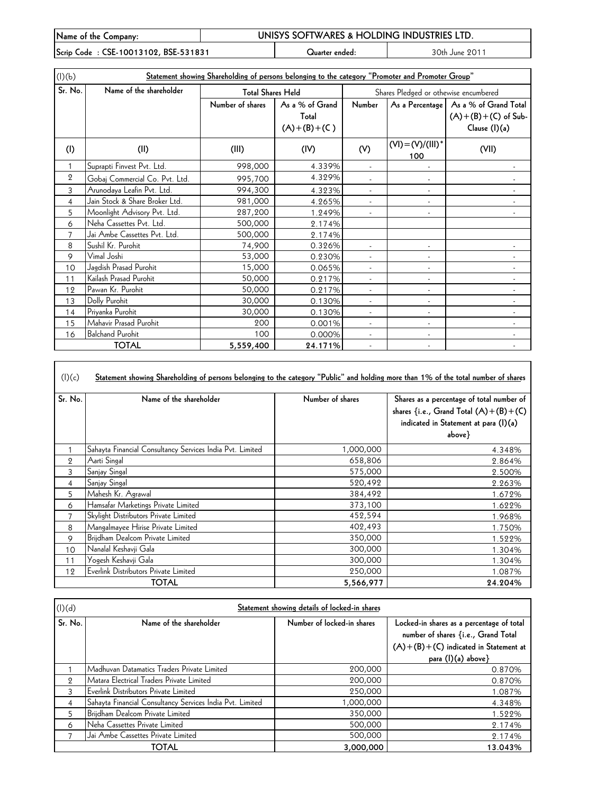| Name of the Company:                 | UNISYS SOFTWARES & HOLDING INDUSTRIES LTD. |                |                |  |  |
|--------------------------------------|--------------------------------------------|----------------|----------------|--|--|
| Scrip Code: CSE-10013102, BSE-531831 |                                            | Juarter ended: | 30th June 2011 |  |  |

| (l)(b)         | Statement showing Shareholding of persons belonging to the category "Promoter and Promoter Group" |                                                               |                                       |                          |                             |                                                                                   |  |
|----------------|---------------------------------------------------------------------------------------------------|---------------------------------------------------------------|---------------------------------------|--------------------------|-----------------------------|-----------------------------------------------------------------------------------|--|
| Sr. No.        | Name of the shareholder                                                                           | <b>Total Shares Held</b>                                      | Shares Pledged or othewise encumbered |                          |                             |                                                                                   |  |
|                |                                                                                                   | Number of shares<br>As a % of Grand<br>Total<br>$(A)+(B)+(C)$ |                                       | Number                   |                             | As a Percentage   As a % of Grand Total<br>$(A)+(B)+(C)$ of Sub-<br>Clause (I)(a) |  |
| (1)            | (II)                                                                                              | (III)                                                         | (IV)                                  | (V)                      | $(VI) = (V)/(III)^*$<br>100 | (VII)                                                                             |  |
|                | Suprapti Finvest Pvt. Ltd.                                                                        | 998,000                                                       | 4.339%                                |                          |                             |                                                                                   |  |
| $\mathbf{2}$   | Gobaj Commercial Co. Pvt. Ltd.                                                                    | 995,700                                                       | 4.329%                                |                          |                             |                                                                                   |  |
| 3              | Arunodaya Leafin Pvt. Ltd.                                                                        | 994,300                                                       | 4.323%                                | $\blacksquare$           | $\overline{a}$              |                                                                                   |  |
| 4              | Jain Stock & Share Broker Ltd.                                                                    | 981,000                                                       | 4.265%                                | $\blacksquare$           |                             |                                                                                   |  |
| 5              | Moonlight Advisory Pvt. Ltd.                                                                      | 287,200                                                       | 1.249%                                | $\overline{\phantom{a}}$ | $\overline{\phantom{a}}$    | $\overline{\phantom{a}}$                                                          |  |
| 6              | Neha Cassettes Pvt. Ltd.                                                                          | 500,000                                                       | 2.174%                                |                          |                             |                                                                                   |  |
| $\overline{7}$ | Jai Ambe Cassettes Pvt. Ltd.                                                                      | 500,000                                                       | 2.174%                                |                          |                             |                                                                                   |  |
| 8              | Sushil Kr. Purohit                                                                                | 74,900                                                        | 0.326%                                |                          |                             |                                                                                   |  |
| 9              | Vimal Joshi                                                                                       | 53,000                                                        | 0.230%                                |                          |                             |                                                                                   |  |
| 10             | Jagdish Prasad Purohit                                                                            | 15,000                                                        | 0.065%                                | $\overline{a}$           |                             |                                                                                   |  |
| 11             | Kailash Prasad Purohit                                                                            | 50,000                                                        | 0.217%                                | $\overline{\phantom{a}}$ |                             |                                                                                   |  |
| 12             | Pawan Kr. Purohit                                                                                 | 50,000                                                        | 0.217%                                | $\overline{a}$           | $\overline{\phantom{a}}$    |                                                                                   |  |
| 13             | Dolly Purohit                                                                                     | 30,000                                                        | 0.130%                                | $\blacksquare$           | $\overline{\phantom{a}}$    |                                                                                   |  |
| 14             | Priyanka Purohit                                                                                  | 30,000                                                        | 0.130%                                | $\overline{\phantom{a}}$ | $\overline{\phantom{a}}$    | $\overline{\phantom{a}}$                                                          |  |
| 15             | Mahavir Prasad Purohit                                                                            | 200                                                           | 0.001%                                | $\overline{\phantom{a}}$ | $\overline{\phantom{a}}$    | $\qquad \qquad \blacksquare$                                                      |  |
| 16             | <b>Balchand Purohit</b>                                                                           | 100                                                           | 0.000%                                |                          | $\overline{\phantom{a}}$    |                                                                                   |  |
|                | <b>TOTAL</b>                                                                                      | 5,559,400                                                     | 24.171%                               |                          |                             |                                                                                   |  |

 $(|)(c)$ **Statement showing Shareholding of persons belonging to the category "Public" and holding more than 1% of the total number of shares**

| Sr. No.      | Name of the shareholder                                   | Number of shares | Shares as a percentage of total number of<br>shares {i.e., Grand Total $(A)+(B)+(C)$<br>indicated in Statement at para (I)(a)<br>$above\}$ |
|--------------|-----------------------------------------------------------|------------------|--------------------------------------------------------------------------------------------------------------------------------------------|
|              | Sahayta Financial Consultancy Services India Pvt. Limited | 1,000,000        | 4.348%                                                                                                                                     |
| $\mathbf{2}$ | Aarti Singal                                              | 658,806          | 2.864%                                                                                                                                     |
| 3            | Sanjay Singal                                             | 575,000          | 2.500%                                                                                                                                     |
| 4            | Sanjay Singal                                             | 520,492          | 2.263%                                                                                                                                     |
| 5            | Mahesh Kr. Agrawal                                        | 384,492          | 1.672%                                                                                                                                     |
| 6            | Hamsafar Marketings Private Limited                       | 373,100          | 1.622%                                                                                                                                     |
| 7            | Skylight Distributors Private Limited                     | 452,594          | 1.968%                                                                                                                                     |
| 8            | Mangalmayee Hirise Private Limited                        | 402,493          | 1.750%                                                                                                                                     |
| 9            | Brijdham Dealcom Private Limited                          | 350,000          | 1.522%                                                                                                                                     |
| 10           | Nanalal Keshavji Gala                                     | 300,000          | 1.304%                                                                                                                                     |
| 11           | Yogesh Keshavji Gala                                      | 300,000          | 1.304%                                                                                                                                     |
| 12           | Everlink Distributors Private Limited                     | 250,000          | 1.087%                                                                                                                                     |
|              | TOTAL                                                     | 5,566,977        | 24.204%                                                                                                                                    |

| (l)(d)  | Statement showing details of locked-in shares             |                            |                                                                                                                                                     |  |  |  |
|---------|-----------------------------------------------------------|----------------------------|-----------------------------------------------------------------------------------------------------------------------------------------------------|--|--|--|
| Sr. No. | Name of the shareholder                                   | Number of locked-in shares | Locked-in shares as a percentage of total<br>number of shares {i.e., Grand Total<br>$(A)+(B)+(C)$ indicated in Statement at<br>para $(l)(a)$ above} |  |  |  |
|         | Madhuvan Datamatics Traders Private Limited               | 200,000                    | 0.870%                                                                                                                                              |  |  |  |
| 9       | Matara Electrical Traders Private Limited                 | 200,000                    | 0.870%                                                                                                                                              |  |  |  |
| 3       | Everlink Distributors Private Limited                     | 250,000                    | 1.087%                                                                                                                                              |  |  |  |
| 4       | Sahayta Financial Consultancy Services India Pvt. Limited | 1,000,000                  | 4.348%                                                                                                                                              |  |  |  |
| 5       | Brijdham Dealcom Private Limited                          | 350,000                    | 1.522%                                                                                                                                              |  |  |  |
| 6       | Neha Cassettes Private Limited                            | 500,000                    | 2.174%                                                                                                                                              |  |  |  |
|         | Jai Ambe Cassettes Private Limited                        | 500,000                    | 2.174%                                                                                                                                              |  |  |  |
|         | TOTAL                                                     | 3,000,000                  | 13.043%                                                                                                                                             |  |  |  |